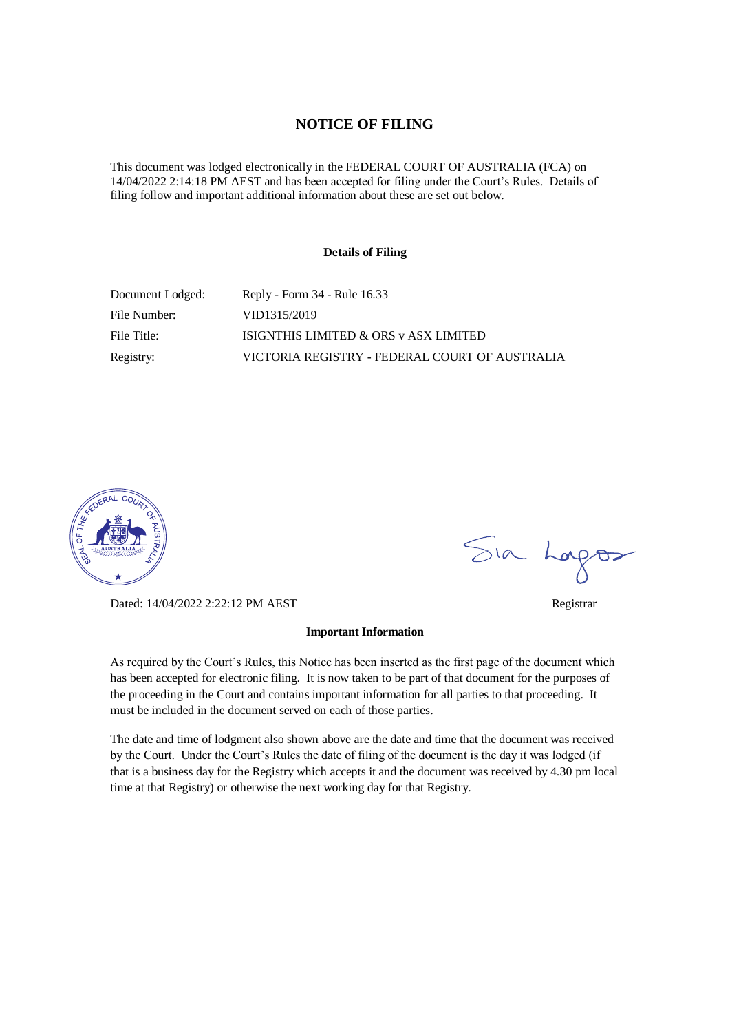### **NOTICE OF FILING**

This document was lodged electronically in the FEDERAL COURT OF AUSTRALIA (FCA) on 14/04/2022 2:14:18 PM AEST and has been accepted for filing under the Court's Rules. Details of filing follow and important additional information about these are set out below.

#### **Details of Filing**

| Document Lodged: | Reply - Form 34 - Rule 16.33                   |
|------------------|------------------------------------------------|
| File Number:     | VID1315/2019                                   |
| File Title:      | ISIGNTHIS LIMITED & ORS v ASX LIMITED          |
| Registry:        | VICTORIA REGISTRY - FEDERAL COURT OF AUSTRALIA |



Dated: 14/04/2022 2:22:12 PM AEST Registrar

#### **Important Information**

As required by the Court's Rules, this Notice has been inserted as the first page of the document which has been accepted for electronic filing. It is now taken to be part of that document for the purposes of the proceeding in the Court and contains important information for all parties to that proceeding. It must be included in the document served on each of those parties.

The date and time of lodgment also shown above are the date and time that the document was received by the Court. Under the Court's Rules the date of filing of the document is the day it was lodged (if that is a business day for the Registry which accepts it and the document was received by 4.30 pm local time at that Registry) or otherwise the next working day for that Registry.

Sia Logos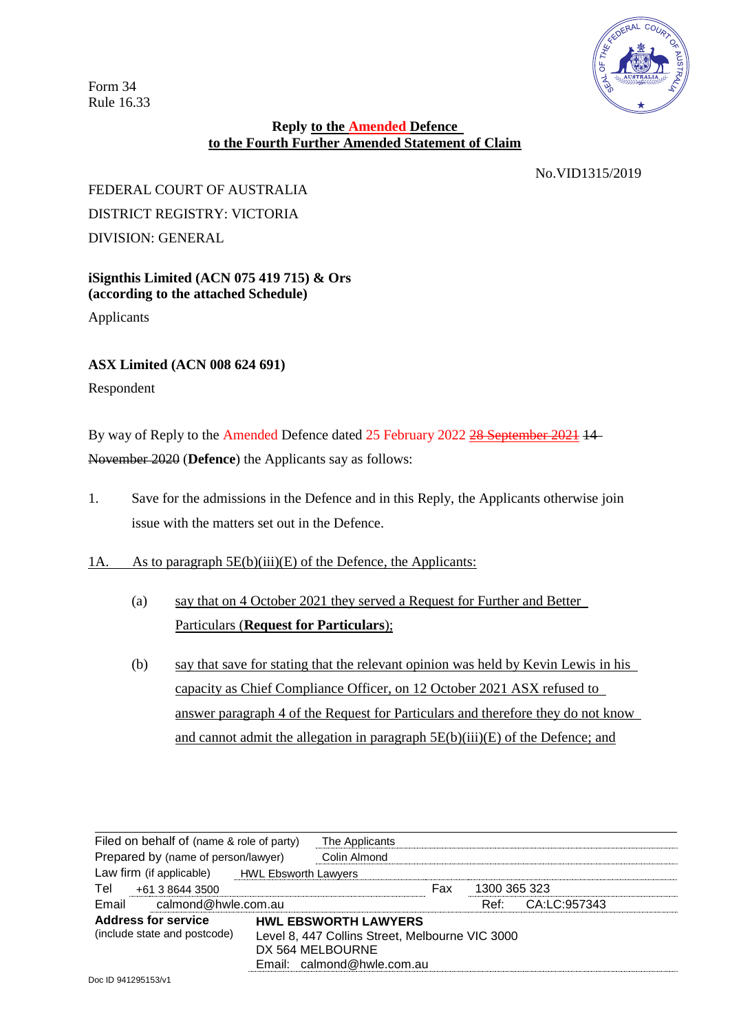Form 34 Rule 16.33



## **Reply to the Amended Defence to the Fourth Further Amended Statement of Claim**

No.VID1315/2019

## FEDERAL COURT OF AUSTRALIA DISTRICT REGISTRY: VICTORIA DIVISION: GENERAL

## **iSignthis Limited (ACN 075 419 715) & Ors (according to the attached Schedule)**

Applicants

## **ASX Limited (ACN 008 624 691)**

Respondent

By way of Reply to the Amended Defence dated 25 February 2022 28 September 2021 14 November 2020 (**Defence**) the Applicants say as follows:

1. Save for the admissions in the Defence and in this Reply, the Applicants otherwise join issue with the matters set out in the Defence.

## 1A. As to paragraph 5E(b)(iii)(E) of the Defence, the Applicants:

- (a) say that on 4 October 2021 they served a Request for Further and Better Particulars (**Request for Particulars**);
- (b) say that save for stating that the relevant opinion was held by Kevin Lewis in his capacity as Chief Compliance Officer, on 12 October 2021 ASX refused to answer paragraph 4 of the Request for Particulars and therefore they do not know and cannot admit the allegation in paragraph 5E(b)(iii)(E) of the Defence; and

| Filed on behalf of (name & role of party)<br>Prepared by (name of person/lawyer) |  | The Applicants                                                                                                                   |     |              |                   |  |
|----------------------------------------------------------------------------------|--|----------------------------------------------------------------------------------------------------------------------------------|-----|--------------|-------------------|--|
|                                                                                  |  | Colin Almond                                                                                                                     |     |              |                   |  |
| Law firm (if applicable) HWL Ebsworth Lawyers                                    |  |                                                                                                                                  |     |              |                   |  |
| Tel<br>+61 3 8644 3500                                                           |  |                                                                                                                                  | Fax | 1300 365 323 |                   |  |
| Email calmond@hwle.com.au                                                        |  |                                                                                                                                  |     |              | Ref: CA:LC:957343 |  |
| <b>Address for service</b><br>(include state and postcode)                       |  | <b>HWL EBSWORTH LAWYERS</b><br>Level 8, 447 Collins Street, Melbourne VIC 3000<br>DX 564 MELBOURNE<br>Email: calmond@hwle.com.au |     |              |                   |  |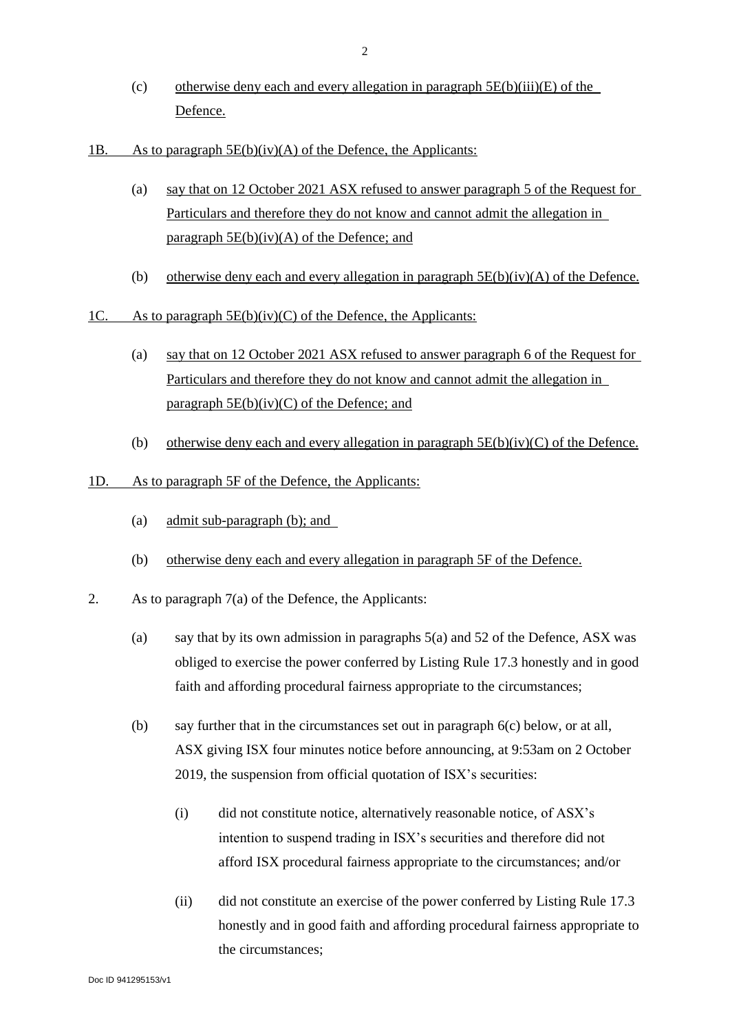- (c) otherwise deny each and every allegation in paragraph  $5E(b)(iii)(E)$  of the Defence.
- 1B. As to paragraph  $5E(b)(iv)(A)$  of the Defence, the Applicants:
	- (a) say that on 12 October 2021 ASX refused to answer paragraph 5 of the Request for Particulars and therefore they do not know and cannot admit the allegation in paragraph  $5E(b)(iv)(A)$  of the Defence; and
	- (b) otherwise deny each and every allegation in paragraph  $5E(b)(iv)(A)$  of the Defence.
- 1C. As to paragraph 5E(b)(iv)(C) of the Defence, the Applicants:
	- (a) say that on 12 October 2021 ASX refused to answer paragraph 6 of the Request for Particulars and therefore they do not know and cannot admit the allegation in paragraph  $5E(b)(iv)(C)$  of the Defence; and
	- (b) otherwise deny each and every allegation in paragraph  $5E(b)(iv)(C)$  of the Defence.
- 1D. As to paragraph 5F of the Defence, the Applicants:
	- (a) admit sub-paragraph (b); and
	- (b) otherwise deny each and every allegation in paragraph 5F of the Defence.
- 2. As to paragraph 7(a) of the Defence, the Applicants:
	- (a) say that by its own admission in paragraphs 5(a) and 52 of the Defence, ASX was obliged to exercise the power conferred by Listing Rule 17.3 honestly and in good faith and affording procedural fairness appropriate to the circumstances;
	- (b) say further that in the circumstances set out in paragraph [6\(](#page-5-0)c) below, or at all, ASX giving ISX four minutes notice before announcing, at 9:53am on 2 October 2019, the suspension from official quotation of ISX's securities:
		- (i) did not constitute notice, alternatively reasonable notice, of ASX's intention to suspend trading in ISX's securities and therefore did not afford ISX procedural fairness appropriate to the circumstances; and/or
		- (ii) did not constitute an exercise of the power conferred by Listing Rule 17.3 honestly and in good faith and affording procedural fairness appropriate to the circumstances;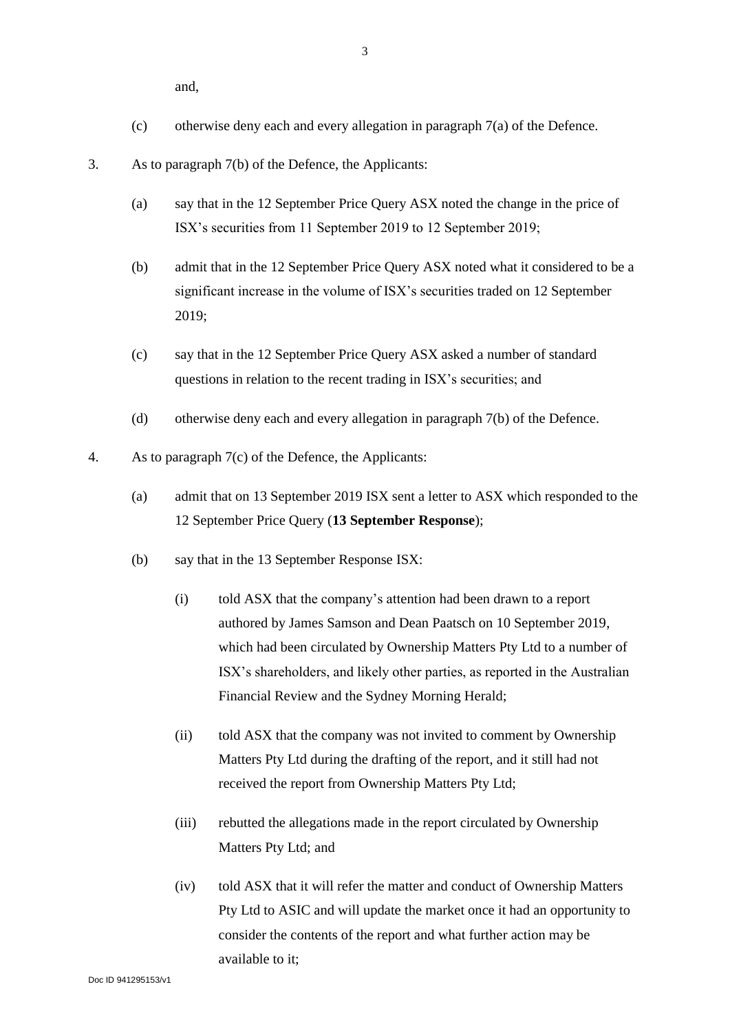- (c) otherwise deny each and every allegation in paragraph 7(a) of the Defence.
- 3. As to paragraph 7(b) of the Defence, the Applicants:
	- (a) say that in the 12 September Price Query ASX noted the change in the price of ISX's securities from 11 September 2019 to 12 September 2019;
	- (b) admit that in the 12 September Price Query ASX noted what it considered to be a significant increase in the volume of ISX's securities traded on 12 September 2019;
	- (c) say that in the 12 September Price Query ASX asked a number of standard questions in relation to the recent trading in ISX's securities; and
	- (d) otherwise deny each and every allegation in paragraph 7(b) of the Defence.
- 4. As to paragraph 7(c) of the Defence, the Applicants:
	- (a) admit that on 13 September 2019 ISX sent a letter to ASX which responded to the 12 September Price Query (**13 September Response**);
	- (b) say that in the 13 September Response ISX:
		- (i) told ASX that the company's attention had been drawn to a report authored by James Samson and Dean Paatsch on 10 September 2019, which had been circulated by Ownership Matters Pty Ltd to a number of ISX's shareholders, and likely other parties, as reported in the Australian Financial Review and the Sydney Morning Herald;
		- (ii) told ASX that the company was not invited to comment by Ownership Matters Pty Ltd during the drafting of the report, and it still had not received the report from Ownership Matters Pty Ltd;
		- (iii) rebutted the allegations made in the report circulated by Ownership Matters Pty Ltd; and
		- (iv) told ASX that it will refer the matter and conduct of Ownership Matters Pty Ltd to ASIC and will update the market once it had an opportunity to consider the contents of the report and what further action may be available to it;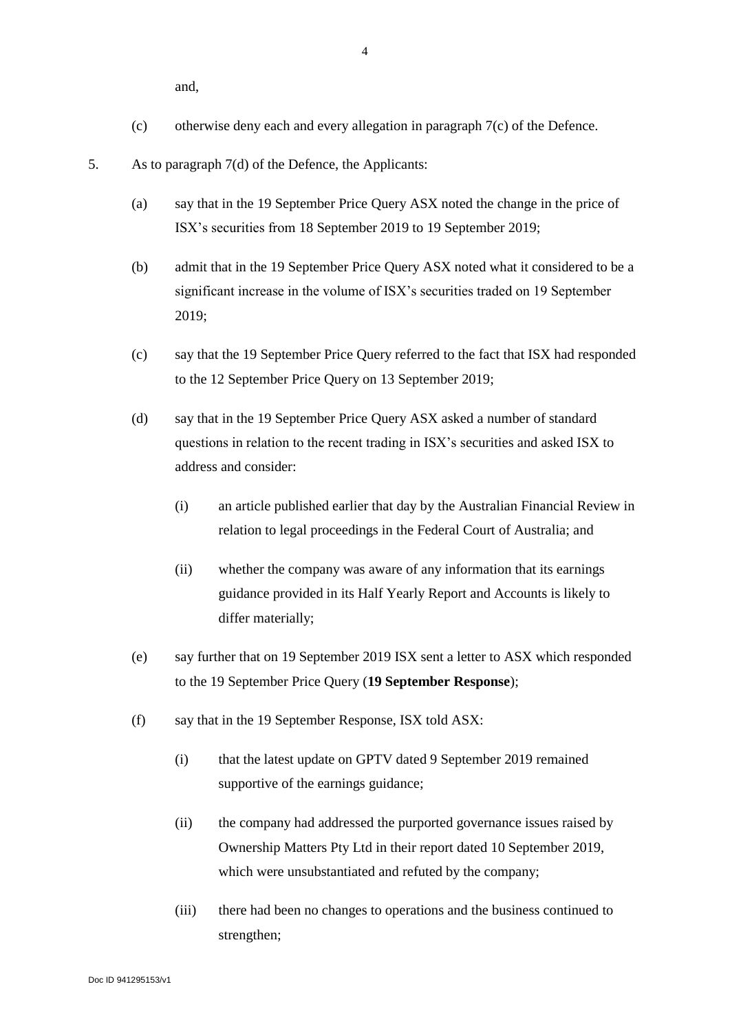- (c) otherwise deny each and every allegation in paragraph 7(c) of the Defence.
- <span id="page-4-0"></span>5. As to paragraph 7(d) of the Defence, the Applicants:
	- (a) say that in the 19 September Price Query ASX noted the change in the price of ISX's securities from 18 September 2019 to 19 September 2019;
	- (b) admit that in the 19 September Price Query ASX noted what it considered to be a significant increase in the volume of ISX's securities traded on 19 September 2019;
	- (c) say that the 19 September Price Query referred to the fact that ISX had responded to the 12 September Price Query on 13 September 2019;
	- (d) say that in the 19 September Price Query ASX asked a number of standard questions in relation to the recent trading in ISX's securities and asked ISX to address and consider:
		- (i) an article published earlier that day by the Australian Financial Review in relation to legal proceedings in the Federal Court of Australia; and
		- (ii) whether the company was aware of any information that its earnings guidance provided in its Half Yearly Report and Accounts is likely to differ materially;
	- (e) say further that on 19 September 2019 ISX sent a letter to ASX which responded to the 19 September Price Query (**19 September Response**);
	- (f) say that in the 19 September Response, ISX told ASX:
		- (i) that the latest update on GPTV dated 9 September 2019 remained supportive of the earnings guidance;
		- (ii) the company had addressed the purported governance issues raised by Ownership Matters Pty Ltd in their report dated 10 September 2019, which were unsubstantiated and refuted by the company;
		- (iii) there had been no changes to operations and the business continued to strengthen;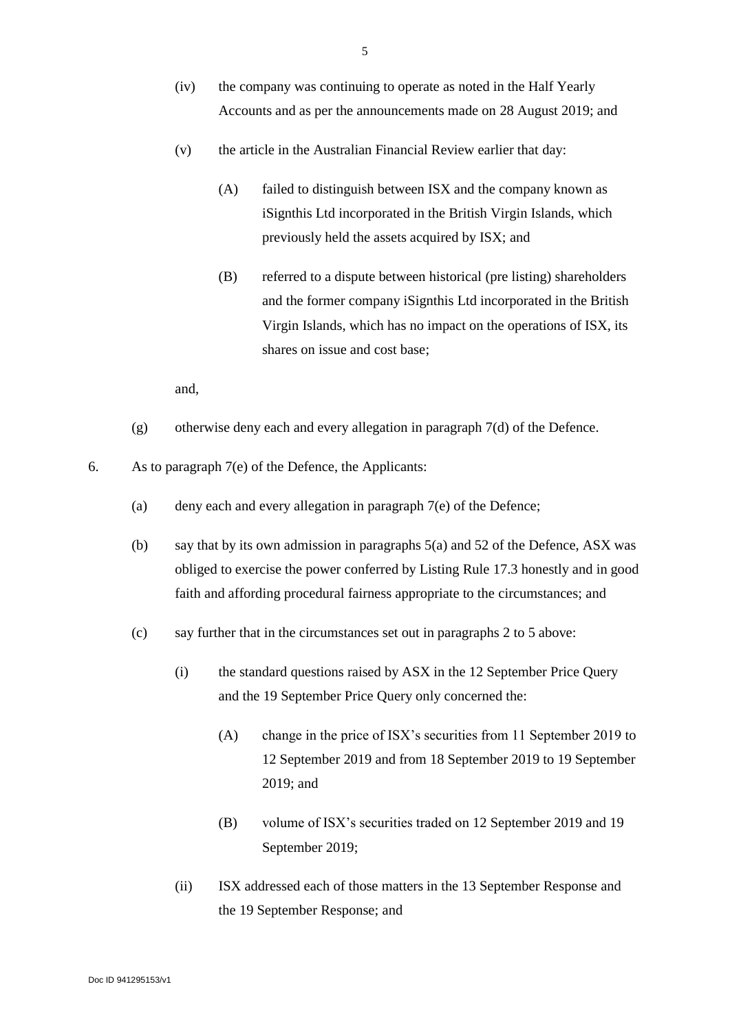- (v) the article in the Australian Financial Review earlier that day:
	- (A) failed to distinguish between ISX and the company known as iSignthis Ltd incorporated in the British Virgin Islands, which previously held the assets acquired by ISX; and
	- (B) referred to a dispute between historical (pre listing) shareholders and the former company iSignthis Ltd incorporated in the British Virgin Islands, which has no impact on the operations of ISX, its shares on issue and cost base;

- (g) otherwise deny each and every allegation in paragraph 7(d) of the Defence.
- <span id="page-5-0"></span>6. As to paragraph 7(e) of the Defence, the Applicants:
	- (a) deny each and every allegation in paragraph 7(e) of the Defence;
	- (b) say that by its own admission in paragraphs 5(a) and 52 of the Defence, ASX was obliged to exercise the power conferred by Listing Rule 17.3 honestly and in good faith and affording procedural fairness appropriate to the circumstances; and
	- (c) say further that in the circumstances set out in paragraphs 2 to [5](#page-4-0) above:
		- (i) the standard questions raised by ASX in the 12 September Price Query and the 19 September Price Query only concerned the:
			- (A) change in the price of ISX's securities from 11 September 2019 to 12 September 2019 and from 18 September 2019 to 19 September 2019; and
			- (B) volume of ISX's securities traded on 12 September 2019 and 19 September 2019;
		- (ii) ISX addressed each of those matters in the 13 September Response and the 19 September Response; and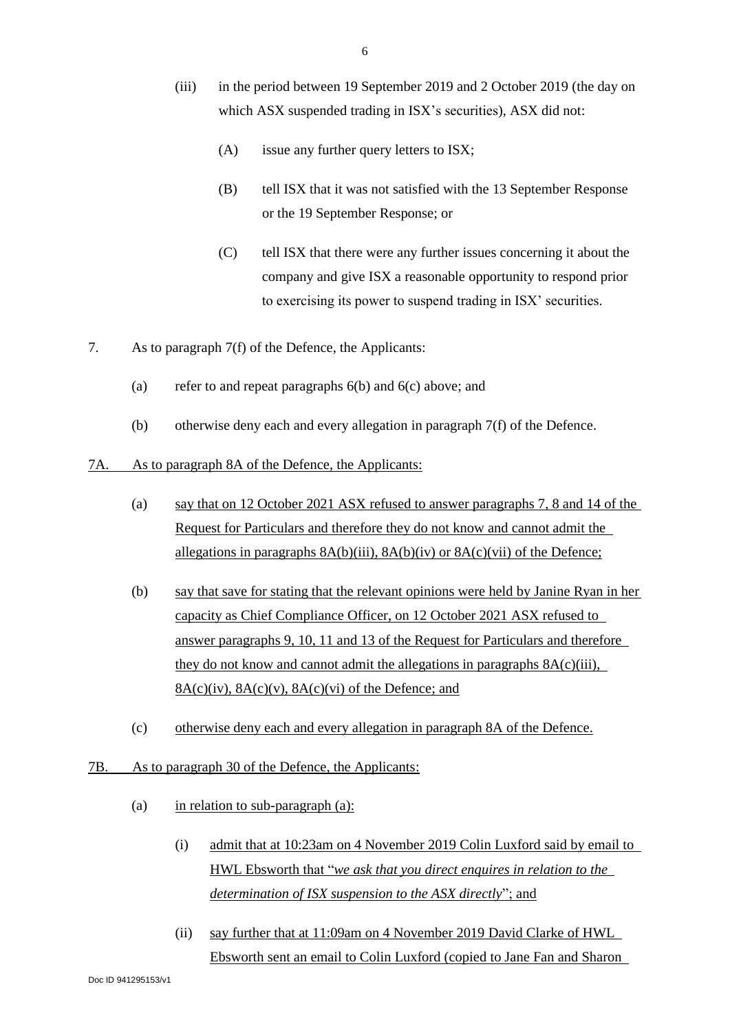- (iii) in the period between 19 September 2019 and 2 October 2019 (the day on which ASX suspended trading in ISX's securities), ASX did not:
	- (A) issue any further query letters to ISX;
	- (B) tell ISX that it was not satisfied with the 13 September Response or the 19 September Response; or
	- (C) tell ISX that there were any further issues concerning it about the company and give ISX a reasonable opportunity to respond prior to exercising its power to suspend trading in ISX' securities.
- 7. As to paragraph 7(f) of the Defence, the Applicants:
	- (a) refer to and repeat paragraphs [6\(](#page-5-0)b) and [6\(](#page-5-0)c) above; and
	- (b) otherwise deny each and every allegation in paragraph 7(f) of the Defence.
- 7A. As to paragraph 8A of the Defence, the Applicants:
	- (a) say that on 12 October 2021 ASX refused to answer paragraphs 7, 8 and 14 of the Request for Particulars and therefore they do not know and cannot admit the allegations in paragraphs  $8A(b)(iii)$ ,  $8A(b)(iv)$  or  $8A(c)(vii)$  of the Defence;
	- (b) say that save for stating that the relevant opinions were held by Janine Ryan in her capacity as Chief Compliance Officer, on 12 October 2021 ASX refused to answer paragraphs 9, 10, 11 and 13 of the Request for Particulars and therefore they do not know and cannot admit the allegations in paragraphs 8A(c)(iii),  $8A(c)(iv)$ ,  $8A(c)(v)$ ,  $8A(c)(vi)$  of the Defence; and
	- (c) otherwise deny each and every allegation in paragraph 8A of the Defence.
- 7B. As to paragraph 30 of the Defence, the Applicants:
	- (a) in relation to sub-paragraph  $(a)$ :
		- (i) admit that at 10:23am on 4 November 2019 Colin Luxford said by email to HWL Ebsworth that "*we ask that you direct enquires in relation to the determination of ISX suspension to the ASX directly*"; and
		- (ii) say further that at 11:09am on 4 November 2019 David Clarke of HWL Ebsworth sent an email to Colin Luxford (copied to Jane Fan and Sharon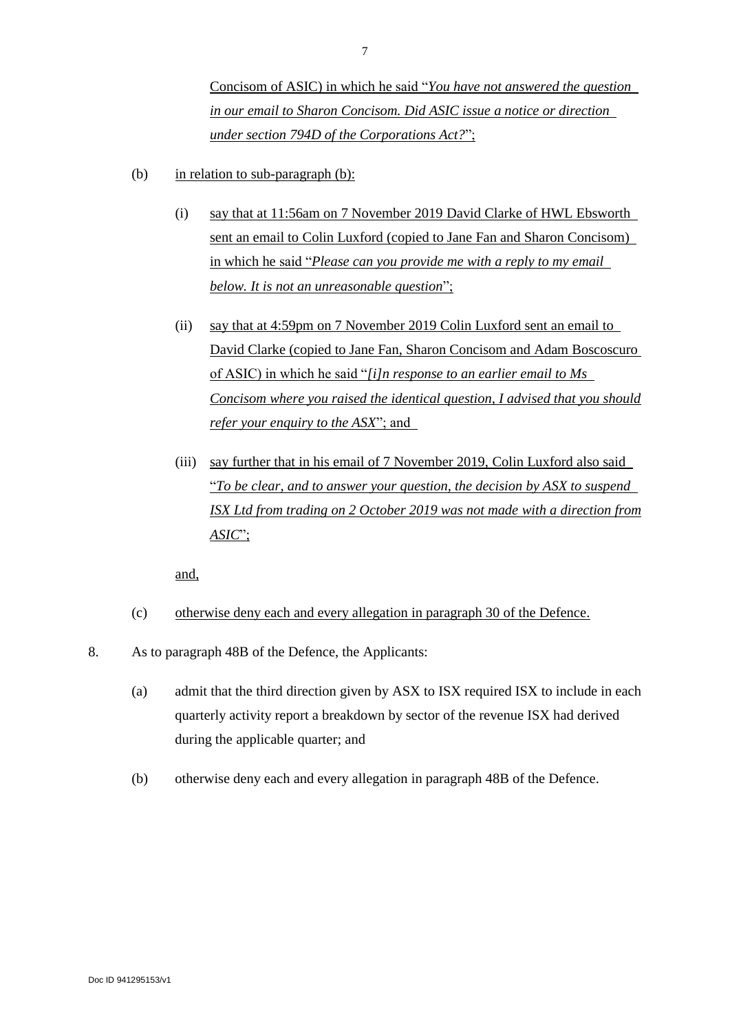Concisom of ASIC) in which he said "*You have not answered the question in our email to Sharon Concisom. Did ASIC issue a notice or direction under section 794D of the Corporations Act?*";

- (b) in relation to sub-paragraph (b):
	- (i) say that at 11:56am on 7 November 2019 David Clarke of HWL Ebsworth sent an email to Colin Luxford (copied to Jane Fan and Sharon Concisom) in which he said "*Please can you provide me with a reply to my email below. It is not an unreasonable question*";
	- (ii) say that at 4:59pm on 7 November 2019 Colin Luxford sent an email to David Clarke (copied to Jane Fan, Sharon Concisom and Adam Boscoscuro of ASIC) in which he said "*[i]n response to an earlier email to Ms Concisom where you raised the identical question, I advised that you should refer your enquiry to the ASX*"; and
	- (iii) say further that in his email of 7 November 2019, Colin Luxford also said "*To be clear, and to answer your question, the decision by ASX to suspend ISX Ltd from trading on 2 October 2019 was not made with a direction from ASIC*";

- (c) otherwise deny each and every allegation in paragraph 30 of the Defence.
- 8. As to paragraph 48B of the Defence, the Applicants:
	- (a) admit that the third direction given by ASX to ISX required ISX to include in each quarterly activity report a breakdown by sector of the revenue ISX had derived during the applicable quarter; and
	- (b) otherwise deny each and every allegation in paragraph 48B of the Defence.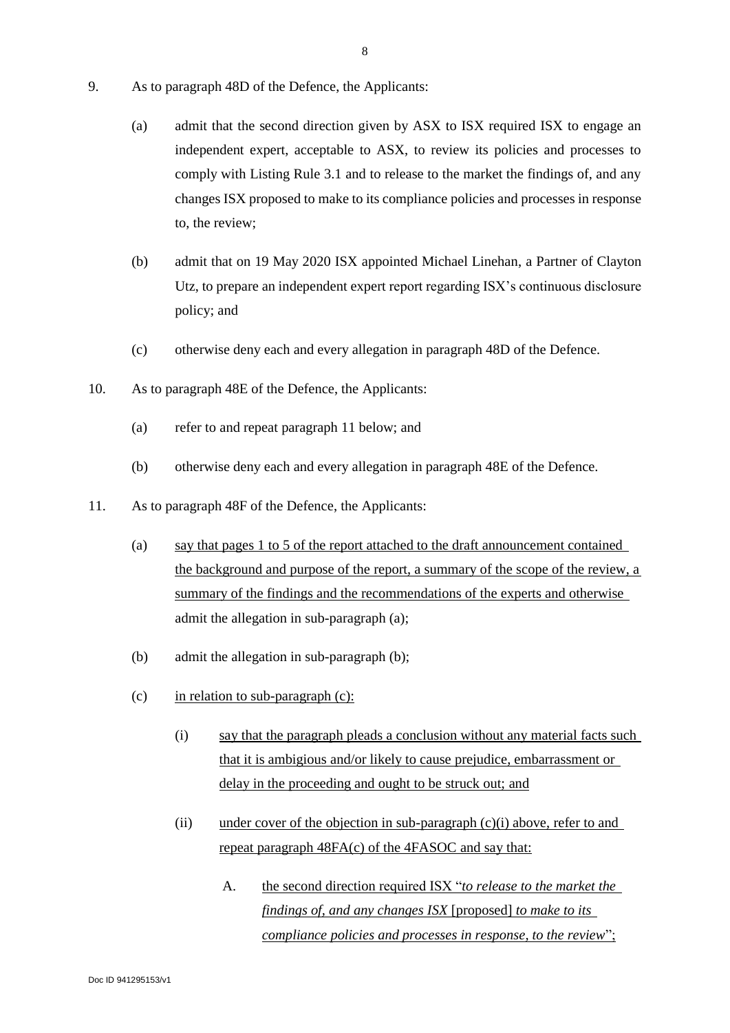- 9. As to paragraph 48D of the Defence, the Applicants:
	- (a) admit that the second direction given by ASX to ISX required ISX to engage an independent expert, acceptable to ASX, to review its policies and processes to comply with Listing Rule 3.1 and to release to the market the findings of, and any changes ISX proposed to make to its compliance policies and processes in response to, the review;
	- (b) admit that on 19 May 2020 ISX appointed Michael Linehan, a Partner of Clayton Utz, to prepare an independent expert report regarding ISX's continuous disclosure policy; and
	- (c) otherwise deny each and every allegation in paragraph 48D of the Defence.
- 10. As to paragraph 48E of the Defence, the Applicants:
	- (a) refer to and repeat paragraph 11 below; and
	- (b) otherwise deny each and every allegation in paragraph 48E of the Defence.
- 11. As to paragraph 48F of the Defence, the Applicants:
	- (a) say that pages 1 to 5 of the report attached to the draft announcement contained the background and purpose of the report, a summary of the scope of the review, a summary of the findings and the recommendations of the experts and otherwise admit the allegation in sub-paragraph (a);
	- (b) admit the allegation in sub-paragraph (b);
	- (c) in relation to sub-paragraph  $(c)$ :
		- (i) say that the paragraph pleads a conclusion without any material facts such that it is ambigious and/or likely to cause prejudice, embarrassment or delay in the proceeding and ought to be struck out; and
		- (ii) under cover of the objection in sub-paragraph  $(c)(i)$  above, refer to and repeat paragraph 48FA(c) of the 4FASOC and say that:
			- A. the second direction required ISX "*to release to the market the findings of, and any changes ISX* [proposed] *to make to its compliance policies and processes in response, to the review*";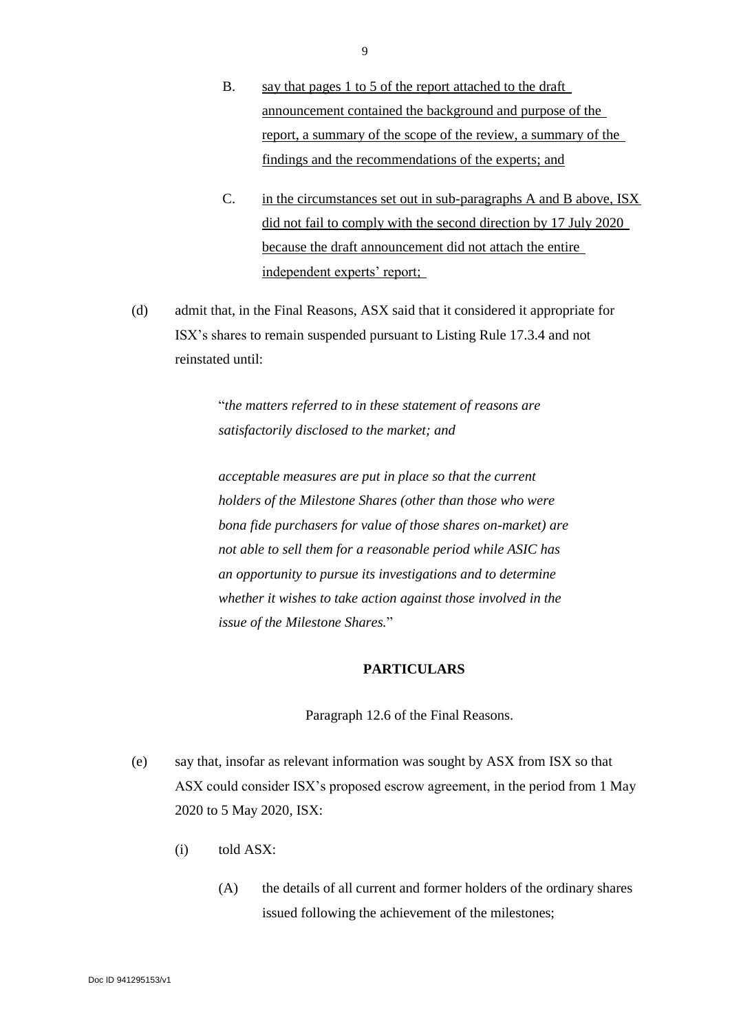- B. say that pages 1 to 5 of the report attached to the draft announcement contained the background and purpose of the report, a summary of the scope of the review, a summary of the findings and the recommendations of the experts; and
- C. in the circumstances set out in sub-paragraphs A and B above, ISX did not fail to comply with the second direction by 17 July 2020 because the draft announcement did not attach the entire independent experts' report;
- (d) admit that, in the Final Reasons, ASX said that it considered it appropriate for ISX's shares to remain suspended pursuant to Listing Rule 17.3.4 and not reinstated until:

"*the matters referred to in these statement of reasons are satisfactorily disclosed to the market; and*

*acceptable measures are put in place so that the current holders of the Milestone Shares (other than those who were bona fide purchasers for value of those shares on-market) are not able to sell them for a reasonable period while ASIC has an opportunity to pursue its investigations and to determine whether it wishes to take action against those involved in the issue of the Milestone Shares.*"

## **PARTICULARS**

Paragraph 12.6 of the Final Reasons.

- (e) say that, insofar as relevant information was sought by ASX from ISX so that ASX could consider ISX's proposed escrow agreement, in the period from 1 May 2020 to 5 May 2020, ISX:
	- (i) told ASX:
		- (A) the details of all current and former holders of the ordinary shares issued following the achievement of the milestones;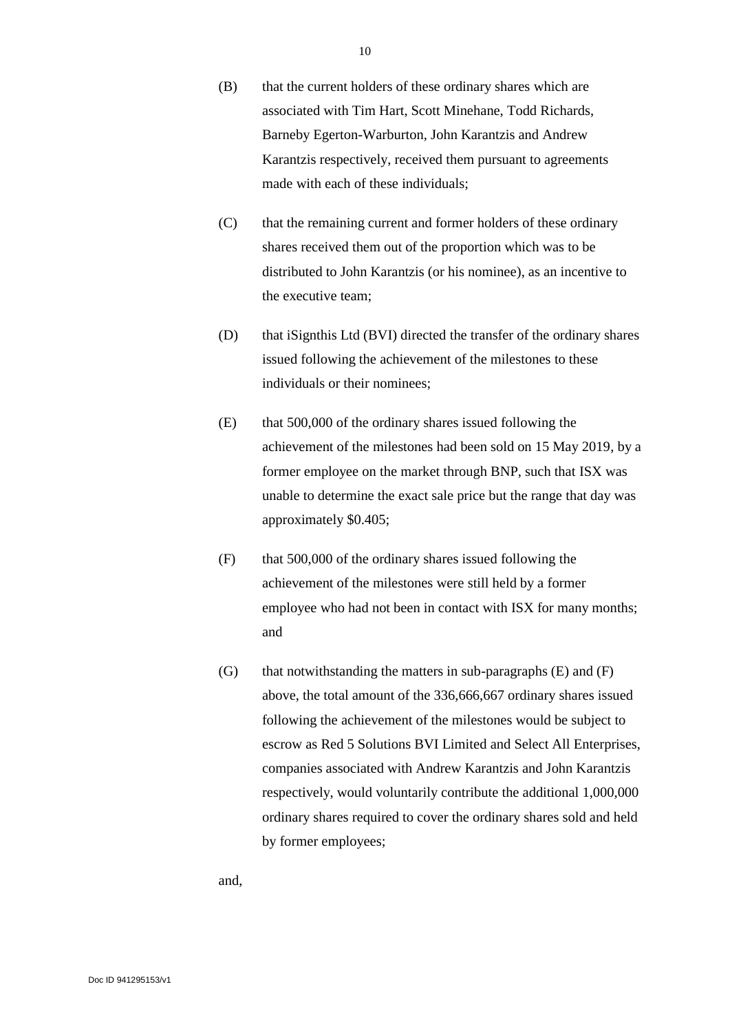- (B) that the current holders of these ordinary shares which are associated with Tim Hart, Scott Minehane, Todd Richards, Barneby Egerton-Warburton, John Karantzis and Andrew Karantzis respectively, received them pursuant to agreements made with each of these individuals;
- (C) that the remaining current and former holders of these ordinary shares received them out of the proportion which was to be distributed to John Karantzis (or his nominee), as an incentive to the executive team;
- (D) that iSignthis Ltd (BVI) directed the transfer of the ordinary shares issued following the achievement of the milestones to these individuals or their nominees;
- (E) that 500,000 of the ordinary shares issued following the achievement of the milestones had been sold on 15 May 2019, by a former employee on the market through BNP, such that ISX was unable to determine the exact sale price but the range that day was approximately \$0.405;
- (F) that 500,000 of the ordinary shares issued following the achievement of the milestones were still held by a former employee who had not been in contact with ISX for many months; and
- $(G)$  that notwithstanding the matters in sub-paragraphs  $(E)$  and  $(F)$ above, the total amount of the 336,666,667 ordinary shares issued following the achievement of the milestones would be subject to escrow as Red 5 Solutions BVI Limited and Select All Enterprises, companies associated with Andrew Karantzis and John Karantzis respectively, would voluntarily contribute the additional 1,000,000 ordinary shares required to cover the ordinary shares sold and held by former employees;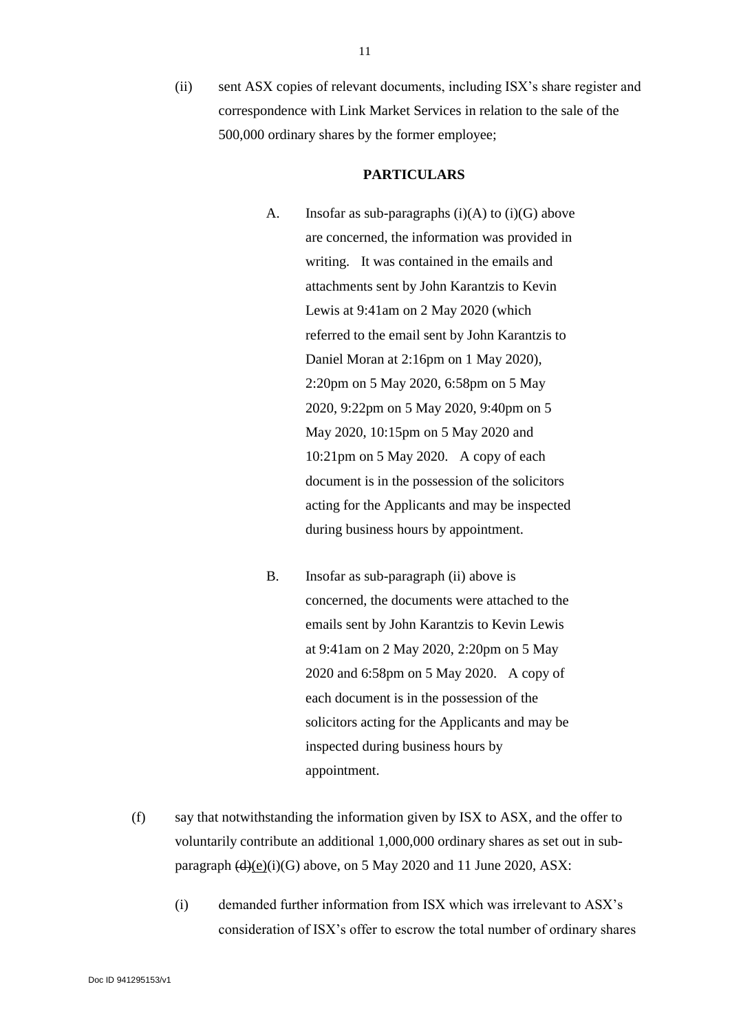(ii) sent ASX copies of relevant documents, including ISX's share register and correspondence with Link Market Services in relation to the sale of the 500,000 ordinary shares by the former employee;

## **PARTICULARS**

- A. Insofar as sub-paragraphs  $(i)(A)$  to  $(i)(G)$  above are concerned, the information was provided in writing. It was contained in the emails and attachments sent by John Karantzis to Kevin Lewis at 9:41am on 2 May 2020 (which referred to the email sent by John Karantzis to Daniel Moran at 2:16pm on 1 May 2020), 2:20pm on 5 May 2020, 6:58pm on 5 May 2020, 9:22pm on 5 May 2020, 9:40pm on 5 May 2020, 10:15pm on 5 May 2020 and 10:21pm on 5 May 2020. A copy of each document is in the possession of the solicitors acting for the Applicants and may be inspected during business hours by appointment.
- B. Insofar as sub-paragraph (ii) above is concerned, the documents were attached to the emails sent by John Karantzis to Kevin Lewis at 9:41am on 2 May 2020, 2:20pm on 5 May 2020 and 6:58pm on 5 May 2020. A copy of each document is in the possession of the solicitors acting for the Applicants and may be inspected during business hours by appointment.
- (f) say that notwithstanding the information given by ISX to ASX, and the offer to voluntarily contribute an additional 1,000,000 ordinary shares as set out in subparagraph  $(d)(e)(i)(G)$  above, on 5 May 2020 and 11 June 2020, ASX:
	- (i) demanded further information from ISX which was irrelevant to ASX's consideration of ISX's offer to escrow the total number of ordinary shares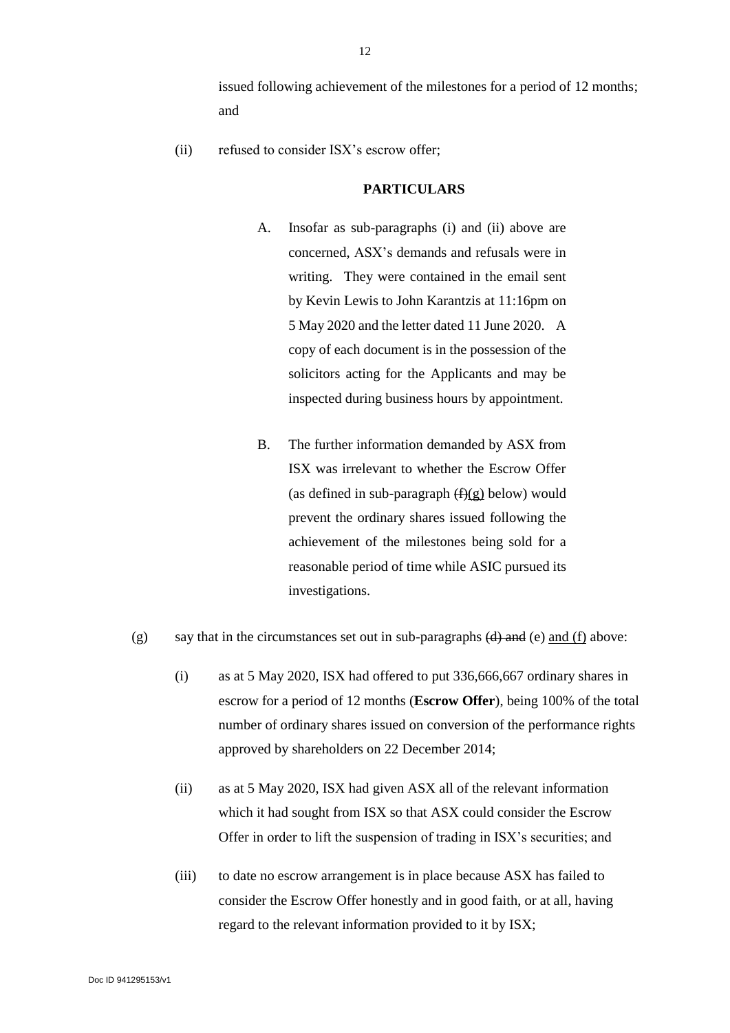issued following achievement of the milestones for a period of 12 months; and

(ii) refused to consider ISX's escrow offer;

#### **PARTICULARS**

- A. Insofar as sub-paragraphs (i) and (ii) above are concerned, ASX's demands and refusals were in writing. They were contained in the email sent by Kevin Lewis to John Karantzis at 11:16pm on 5 May 2020 and the letter dated 11 June 2020. A copy of each document is in the possession of the solicitors acting for the Applicants and may be inspected during business hours by appointment.
- B. The further information demanded by ASX from ISX was irrelevant to whether the Escrow Offer (as defined in sub-paragraph  $(f)(g)$  below) would prevent the ordinary shares issued following the achievement of the milestones being sold for a reasonable period of time while ASIC pursued its investigations.
- (g) say that in the circumstances set out in sub-paragraphs  $(d)$  and  $(e)$  and  $(f)$  above:
	- (i) as at 5 May 2020, ISX had offered to put 336,666,667 ordinary shares in escrow for a period of 12 months (**Escrow Offer**), being 100% of the total number of ordinary shares issued on conversion of the performance rights approved by shareholders on 22 December 2014;
	- (ii) as at 5 May 2020, ISX had given ASX all of the relevant information which it had sought from ISX so that ASX could consider the Escrow Offer in order to lift the suspension of trading in ISX's securities; and
	- (iii) to date no escrow arrangement is in place because ASX has failed to consider the Escrow Offer honestly and in good faith, or at all, having regard to the relevant information provided to it by ISX;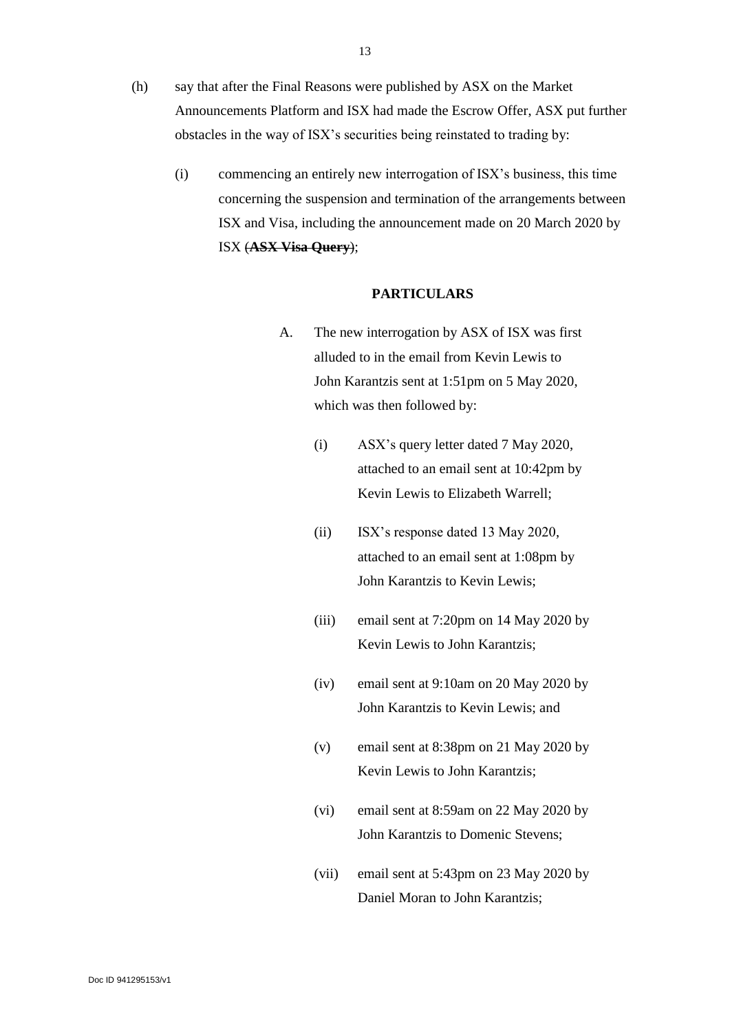- (h) say that after the Final Reasons were published by ASX on the Market Announcements Platform and ISX had made the Escrow Offer, ASX put further obstacles in the way of ISX's securities being reinstated to trading by:
	- (i) commencing an entirely new interrogation of ISX's business, this time concerning the suspension and termination of the arrangements between ISX and Visa, including the announcement made on 20 March 2020 by ISX (**ASX Visa Query**);

#### **PARTICULARS**

- A. The new interrogation by ASX of ISX was first alluded to in the email from Kevin Lewis to John Karantzis sent at 1:51pm on 5 May 2020, which was then followed by:
	- (i) ASX's query letter dated 7 May 2020, attached to an email sent at 10:42pm by Kevin Lewis to Elizabeth Warrell;
	- (ii) ISX's response dated 13 May 2020, attached to an email sent at 1:08pm by John Karantzis to Kevin Lewis;
	- (iii) email sent at 7:20pm on 14 May 2020 by Kevin Lewis to John Karantzis;
	- (iv) email sent at 9:10am on 20 May 2020 by John Karantzis to Kevin Lewis; and
	- (v) email sent at 8:38pm on 21 May 2020 by Kevin Lewis to John Karantzis;
	- (vi) email sent at 8:59am on 22 May 2020 by John Karantzis to Domenic Stevens;
	- (vii) email sent at 5:43pm on 23 May 2020 by Daniel Moran to John Karantzis;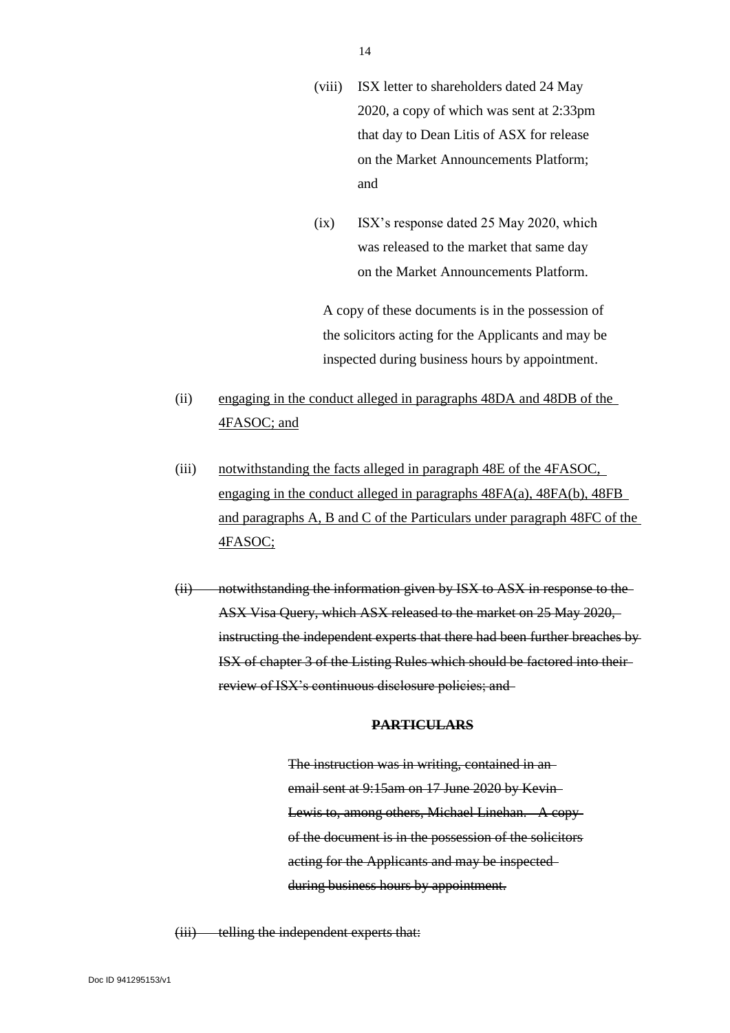- (viii) ISX letter to shareholders dated 24 May 2020, a copy of which was sent at 2:33pm that day to Dean Litis of ASX for release on the Market Announcements Platform; and
- (ix) ISX's response dated 25 May 2020, which was released to the market that same day on the Market Announcements Platform.

A copy of these documents is in the possession of the solicitors acting for the Applicants and may be inspected during business hours by appointment.

- (ii) engaging in the conduct alleged in paragraphs 48DA and 48DB of the 4FASOC; and
- (iii) notwithstanding the facts alleged in paragraph 48E of the 4FASOC, engaging in the conduct alleged in paragraphs 48FA(a), 48FA(b), 48FB and paragraphs A, B and C of the Particulars under paragraph 48FC of the 4FASOC;
- (ii) notwithstanding the information given by ISX to ASX in response to the ASX Visa Query, which ASX released to the market on 25 May 2020, instructing the independent experts that there had been further breaches by ISX of chapter 3 of the Listing Rules which should be factored into their review of ISX's continuous disclosure policies; and

#### **PARTICULARS**

The instruction was in writing, contained in an email sent at 9:15am on 17 June 2020 by Kevin Lewis to, among others, Michael Linehan. A copy of the document is in the possession of the solicitors acting for the Applicants and may be inspected during business hours by appointment.

(iii) telling the independent experts that: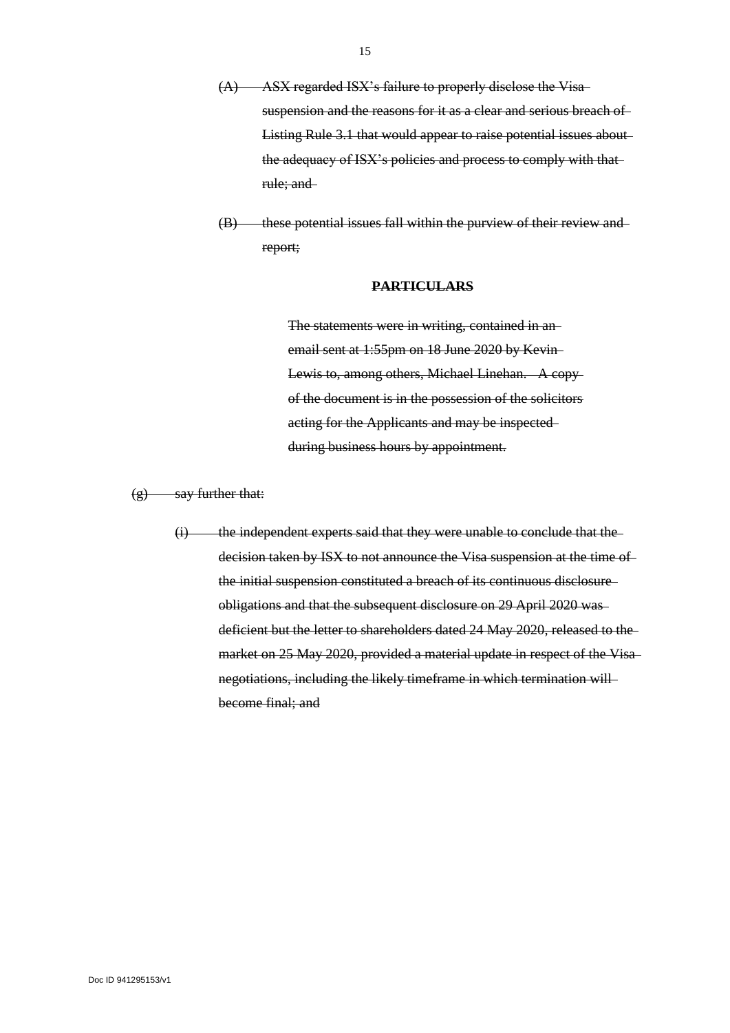- (A) ASX regarded ISX's failure to properly disclose the Visa suspension and the reasons for it as a clear and serious breach of Listing Rule 3.1 that would appear to raise potential issues about the adequacy of ISX's policies and process to comply with thatrule; and
- (B) these potential issues fall within the purview of their review and report;

#### **PARTICULARS**

The statements were in writing, contained in an email sent at 1:55pm on 18 June 2020 by Kevin Lewis to, among others, Michael Linehan. A copy of the document is in the possession of the solicitors acting for the Applicants and may be inspected during business hours by appointment.

 $(g)$  say further that:

(i) the independent experts said that they were unable to conclude that the decision taken by ISX to not announce the Visa suspension at the time of the initial suspension constituted a breach of its continuous disclosure obligations and that the subsequent disclosure on 29 April 2020 was deficient but the letter to shareholders dated 24 May 2020, released to the market on 25 May 2020, provided a material update in respect of the Visa negotiations, including the likely timeframe in which termination will become final; and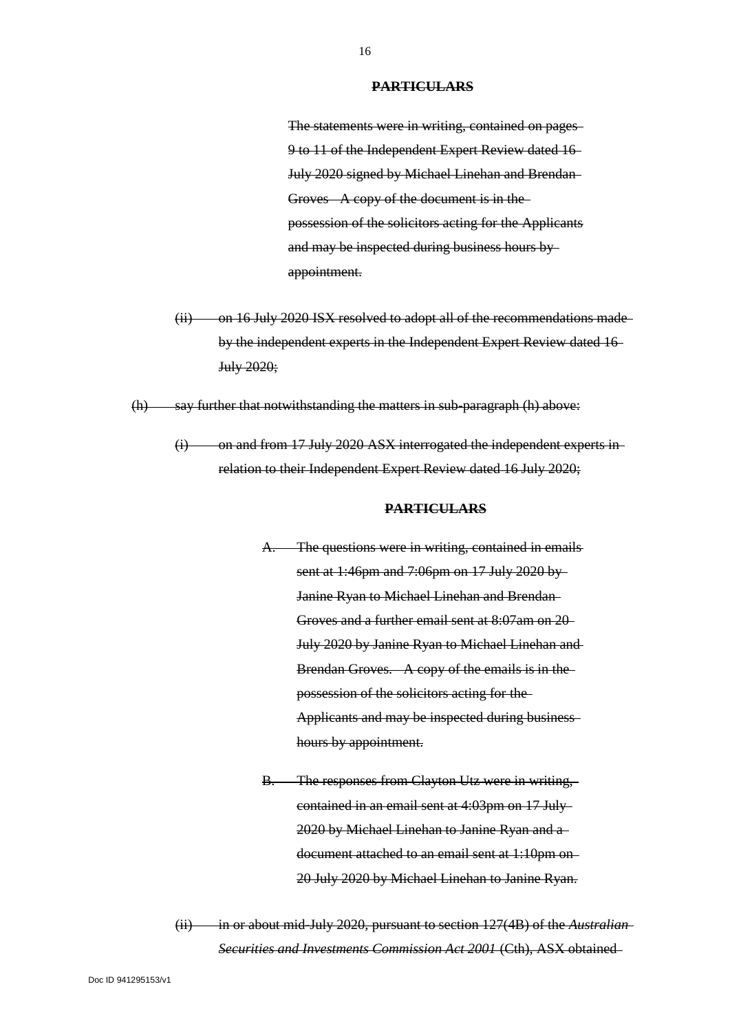#### **PARTICULARS**

The statements were in writing, contained on pages 9 to 11 of the Independent Expert Review dated 16 July 2020 signed by Michael Linehan and Brendan Groves A copy of the document is in the possession of the solicitors acting for the Applicants and may be inspected during business hours by appointment.

(ii) on 16 July 2020 ISX resolved to adopt all of the recommendations madeby the independent experts in the Independent Expert Review dated 16 July 2020;

 $(h)$  say further that notwithstanding the matters in sub-paragraph  $(h)$  above:

(i) on and from 17 July 2020 ASX interrogated the independent experts in relation to their Independent Expert Review dated 16 July 2020;

#### **PARTICULARS**

The questions were in writing, contained in emails sent at 1:46pm and 7:06pm on 17 July 2020 by Janine Ryan to Michael Linehan and Brendan Groves and a further email sent at 8:07am on 20 July 2020 by Janine Ryan to Michael Linehan and Brendan Groves. A copy of the emails is in the possession of the solicitors acting for the Applicants and may be inspected during business hours by appointment.

B. The responses from Clayton Utz were in writing, contained in an email sent at 4:03pm on 17 July 2020 by Michael Linehan to Janine Ryan and a document attached to an email sent at 1:10pm on 20 July 2020 by Michael Linehan to Janine Ryan.

(ii) in or about mid-July 2020, pursuant to section 127(4B) of the *Australian Securities and Investments Commission Act 2001* (Cth), ASX obtained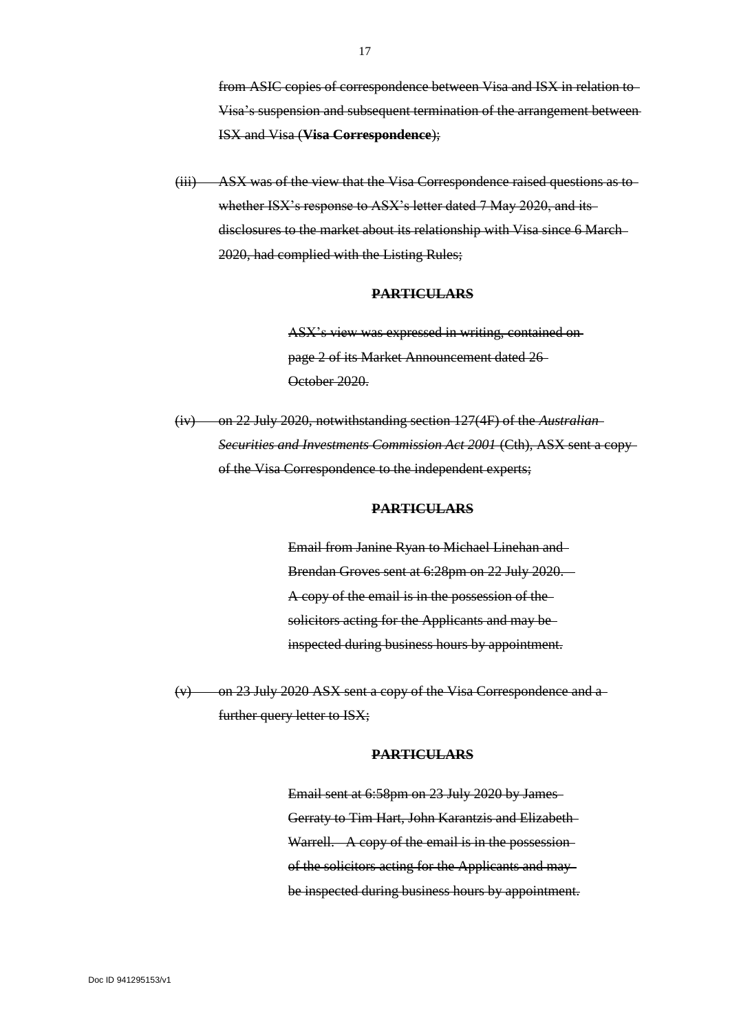from ASIC copies of correspondence between Visa and ISX in relation to Visa's suspension and subsequent termination of the arrangement between ISX and Visa (**Visa Correspondence**);

(iii) ASX was of the view that the Visa Correspondence raised questions as to whether ISX's response to ASX's letter dated 7 May 2020, and its disclosures to the market about its relationship with Visa since 6 March 2020, had complied with the Listing Rules;

#### **PARTICULARS**

ASX's view was expressed in writing, contained on page 2 of its Market Announcement dated 26 October 2020.

(iv) on 22 July 2020, notwithstanding section 127(4F) of the *Australian Securities and Investments Commission Act 2001* (Cth), ASX sent a copy of the Visa Correspondence to the independent experts;

#### **PARTICULARS**

Email from Janine Ryan to Michael Linehan and Brendan Groves sent at 6:28pm on 22 July 2020. A copy of the email is in the possession of the solicitors acting for the Applicants and may be inspected during business hours by appointment.

(v) on 23 July 2020 ASX sent a copy of the Visa Correspondence and a further query letter to ISX;

#### **PARTICULARS**

Email sent at 6:58pm on 23 July 2020 by James Gerraty to Tim Hart, John Karantzis and Elizabeth Warrell. A copy of the email is in the possession of the solicitors acting for the Applicants and may be inspected during business hours by appointment.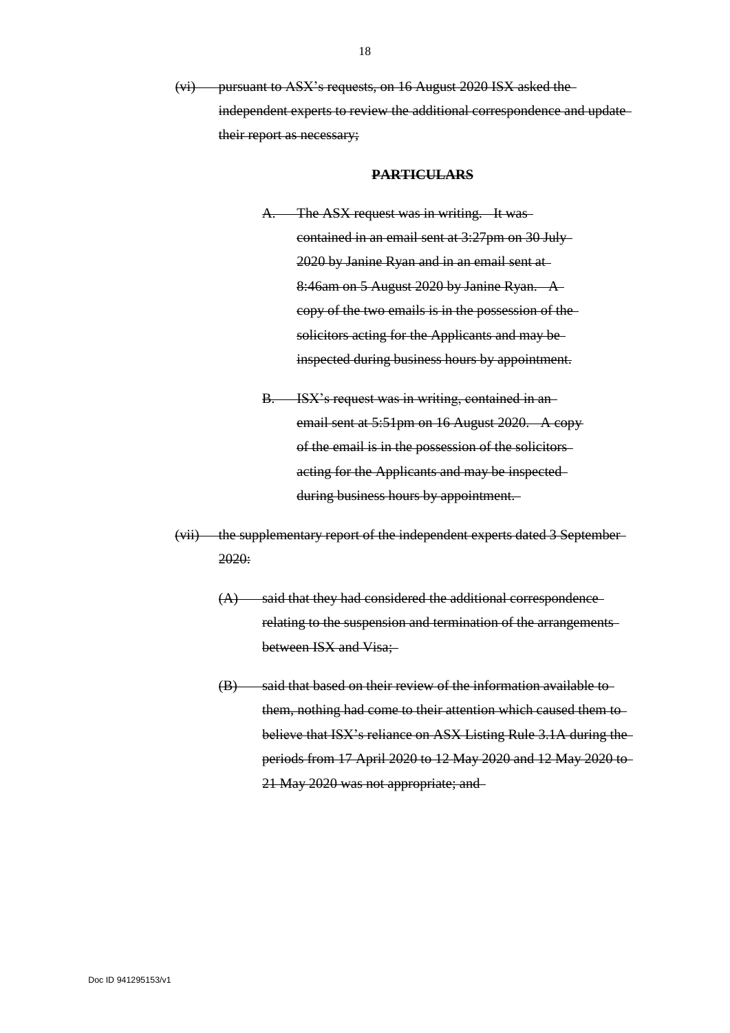(vi) pursuant to ASX's requests, on 16 August 2020 ISX asked the independent experts to review the additional correspondence and update their report as necessary;

#### **PARTICULARS**

- A. The ASX request was in writing. It was contained in an email sent at 3:27pm on 30 July 2020 by Janine Ryan and in an email sent at 8:46am on 5 August 2020 by Janine Ryan. A copy of the two emails is in the possession of the solicitors acting for the Applicants and may beinspected during business hours by appointment.
- B. ISX's request was in writing, contained in anemail sent at 5:51pm on 16 August 2020. A copyof the email is in the possession of the solicitors acting for the Applicants and may be inspected during business hours by appointment.
- (vii) the supplementary report of the independent experts dated 3 September 2020:
	- $(A)$  said that they had considered the additional correspondencerelating to the suspension and termination of the arrangements between ISX and Visa;
	- (B) said that based on their review of the information available tothem, nothing had come to their attention which caused them to believe that ISX's reliance on ASX Listing Rule 3.1A during the periods from 17 April 2020 to 12 May 2020 and 12 May 2020 to 21 May 2020 was not appropriate; and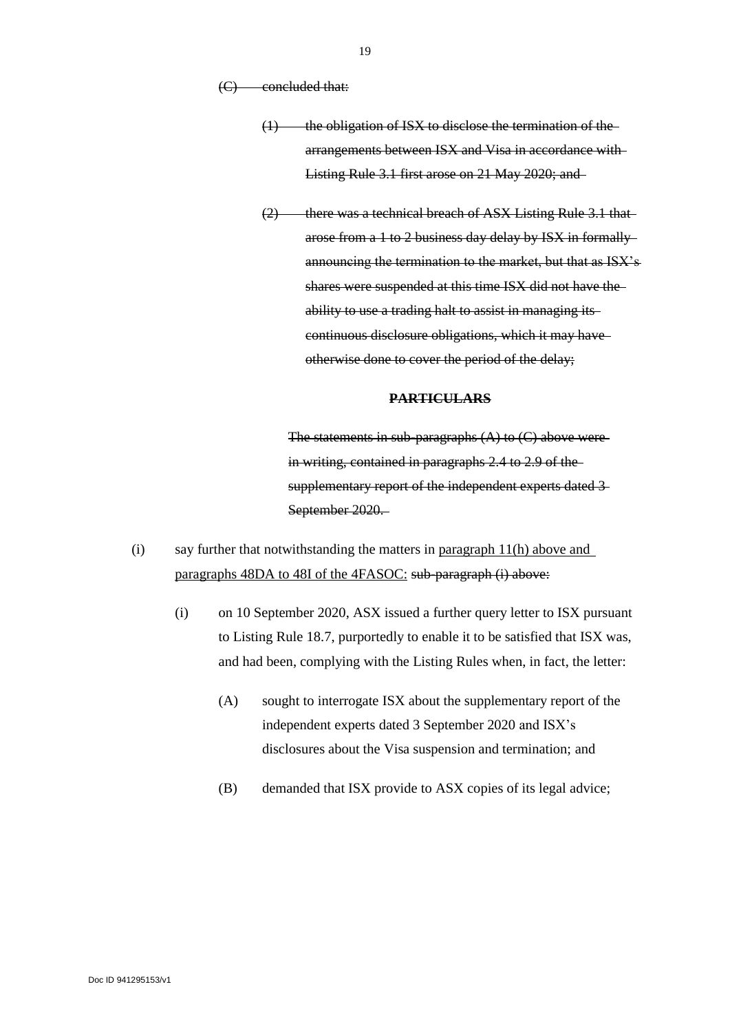(C) concluded that:

- $(1)$  the obligation of ISX to disclose the termination of thearrangements between ISX and Visa in accordance with Listing Rule 3.1 first arose on 21 May 2020; and
- (2) there was a technical breach of ASX Listing Rule 3.1 thatarose from a 1 to 2 business day delay by ISX in formally announcing the termination to the market, but that as ISX's shares were suspended at this time ISX did not have the ability to use a trading halt to assist in managing its continuous disclosure obligations, which it may have otherwise done to cover the period of the delay;

## **PARTICULARS**

The statements in sub-paragraphs  $(A)$  to  $(C)$  above were in writing, contained in paragraphs 2.4 to 2.9 of the supplementary report of the independent experts dated 3 September 2020.

- (i) say further that notwithstanding the matters in paragraph 11(h) above and paragraphs 48DA to 48I of the 4FASOC: sub-paragraph (i) above:
	- (i) on 10 September 2020, ASX issued a further query letter to ISX pursuant to Listing Rule 18.7, purportedly to enable it to be satisfied that ISX was, and had been, complying with the Listing Rules when, in fact, the letter:
		- (A) sought to interrogate ISX about the supplementary report of the independent experts dated 3 September 2020 and ISX's disclosures about the Visa suspension and termination; and
		- (B) demanded that ISX provide to ASX copies of its legal advice;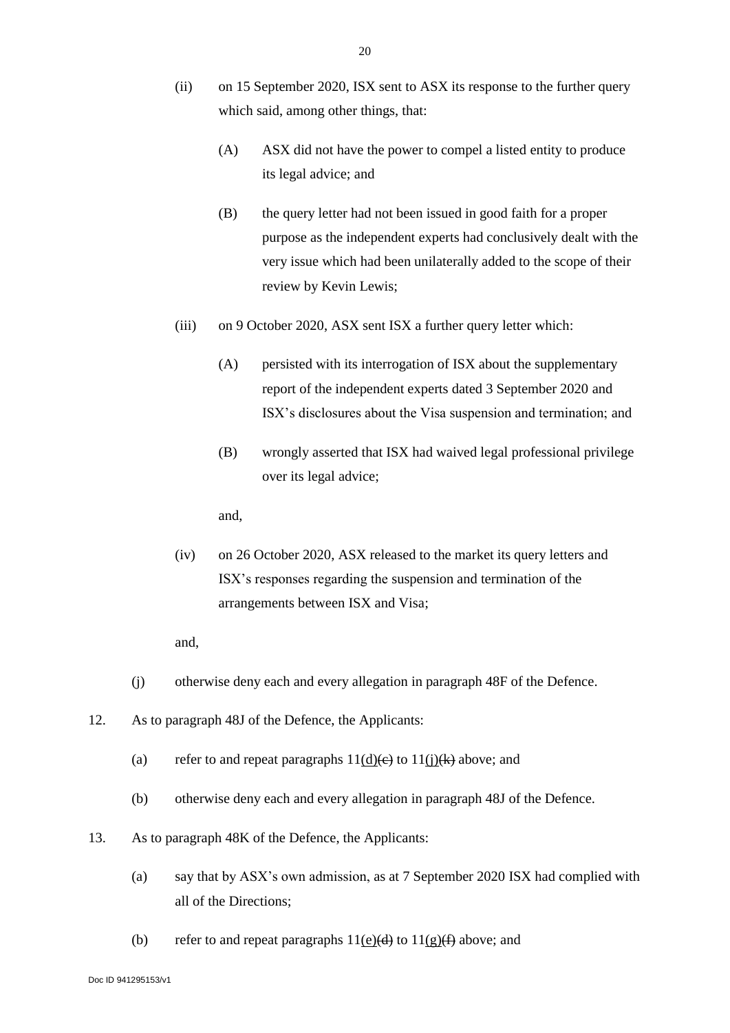- (ii) on 15 September 2020, ISX sent to ASX its response to the further query which said, among other things, that:
	- (A) ASX did not have the power to compel a listed entity to produce its legal advice; and
	- (B) the query letter had not been issued in good faith for a proper purpose as the independent experts had conclusively dealt with the very issue which had been unilaterally added to the scope of their review by Kevin Lewis;
- (iii) on 9 October 2020, ASX sent ISX a further query letter which:
	- (A) persisted with its interrogation of ISX about the supplementary report of the independent experts dated 3 September 2020 and ISX's disclosures about the Visa suspension and termination; and
	- (B) wrongly asserted that ISX had waived legal professional privilege over its legal advice;

- (iv) on 26 October 2020, ASX released to the market its query letters and ISX's responses regarding the suspension and termination of the arrangements between ISX and Visa;
- and,
- (j) otherwise deny each and every allegation in paragraph 48F of the Defence.
- 12. As to paragraph 48J of the Defence, the Applicants:
	- (a) refer to and repeat paragraphs  $11(d)(e)$  to  $11(i)(k)$  above; and
	- (b) otherwise deny each and every allegation in paragraph 48J of the Defence.
- 13. As to paragraph 48K of the Defence, the Applicants:
	- (a) say that by ASX's own admission, as at 7 September 2020 ISX had complied with all of the Directions;
	- (b) refer to and repeat paragraphs  $11(e)(d)$  to  $11(g)(f)$  above; and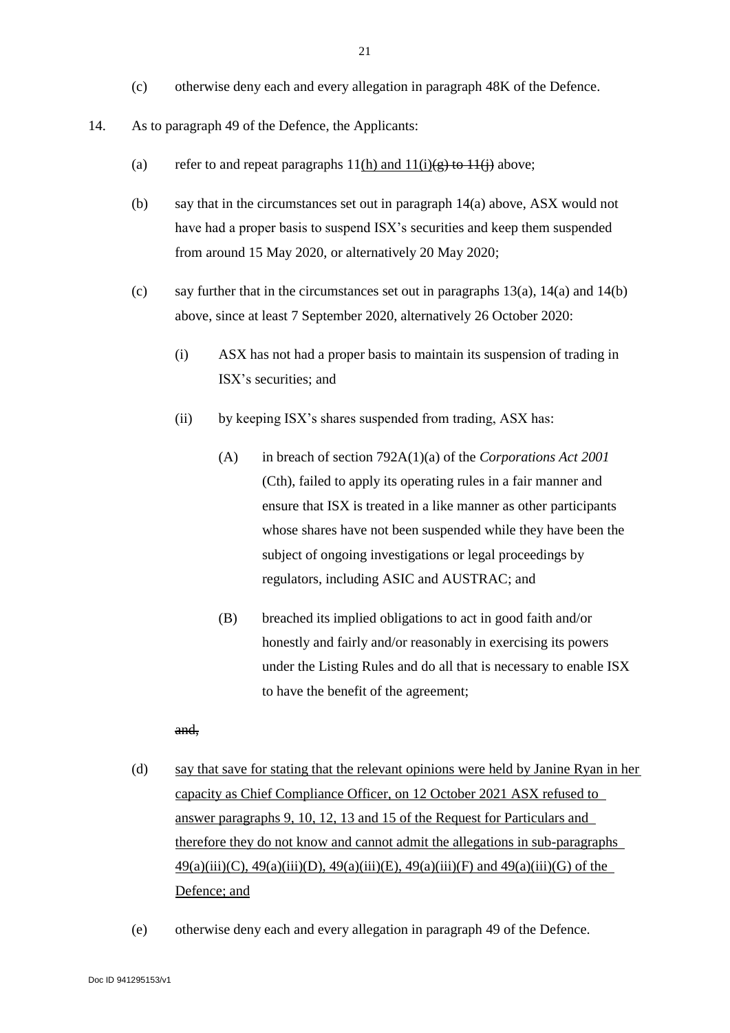- (c) otherwise deny each and every allegation in paragraph 48K of the Defence.
- <span id="page-21-0"></span>14. As to paragraph 49 of the Defence, the Applicants:
	- (a) refer to and repeat paragraphs  $11(h)$  and  $11(i)(g)$  to  $11(i)$  above;
	- (b) say that in the circumstances set out in paragraph 14(a) above, ASX would not have had a proper basis to suspend ISX's securities and keep them suspended from around 15 May 2020, or alternatively 20 May 2020;
	- (c) say further that in the circumstances set out in paragraphs  $13(a)$ ,  $14(a)$  and  $14(b)$ above, since at least 7 September 2020, alternatively 26 October 2020:
		- (i) ASX has not had a proper basis to maintain its suspension of trading in ISX's securities; and
		- (ii) by keeping ISX's shares suspended from trading, ASX has:
			- (A) in breach of section 792A(1)(a) of the *Corporations Act 2001* (Cth), failed to apply its operating rules in a fair manner and ensure that ISX is treated in a like manner as other participants whose shares have not been suspended while they have been the subject of ongoing investigations or legal proceedings by regulators, including ASIC and AUSTRAC; and
			- (B) breached its implied obligations to act in good faith and/or honestly and fairly and/or reasonably in exercising its powers under the Listing Rules and do all that is necessary to enable ISX to have the benefit of the agreement;

- (d) say that save for stating that the relevant opinions were held by Janine Ryan in her capacity as Chief Compliance Officer, on 12 October 2021 ASX refused to answer paragraphs 9, 10, 12, 13 and 15 of the Request for Particulars and therefore they do not know and cannot admit the allegations in sub-paragraphs  $49(a)(iii)(C)$ ,  $49(a)(iii)(D)$ ,  $49(a)(iii)(E)$ ,  $49(a)(iii)(F)$  and  $49(a)(iii)(G)$  of the Defence; and
- (e) otherwise deny each and every allegation in paragraph 49 of the Defence.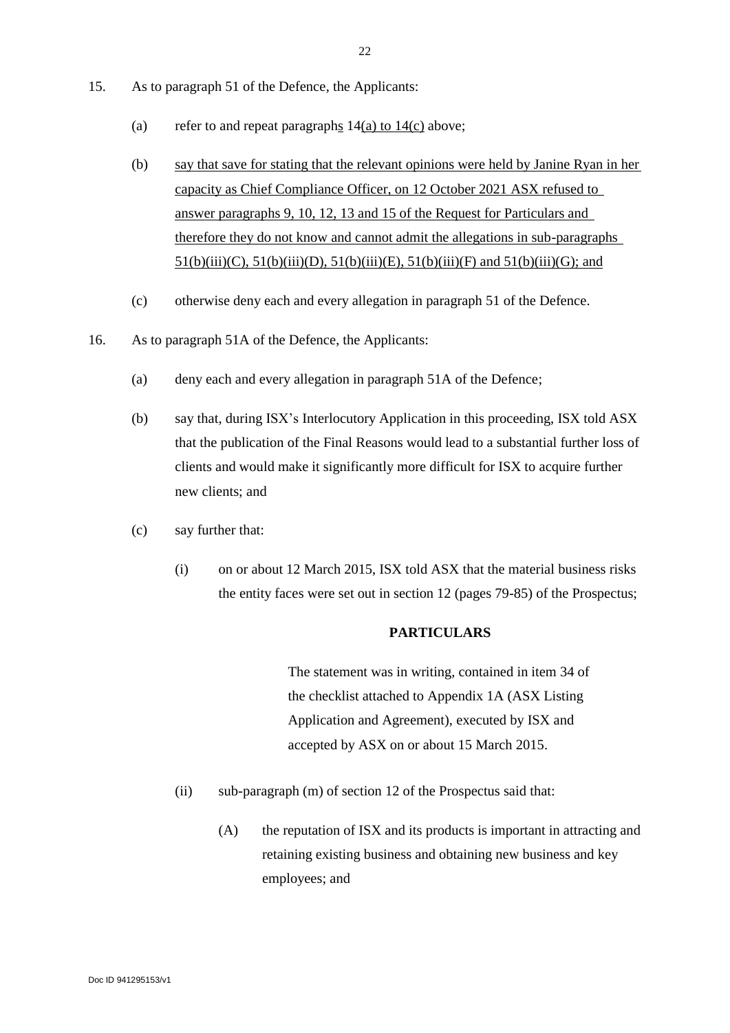- 15. As to paragraph 51 of the Defence, the Applicants:
	- (a) refer to and repeat paragraphs  $14(a)$  $14(a)$  to  $14(c)$  above;
	- (b) say that save for stating that the relevant opinions were held by Janine Ryan in her capacity as Chief Compliance Officer, on 12 October 2021 ASX refused to answer paragraphs 9, 10, 12, 13 and 15 of the Request for Particulars and therefore they do not know and cannot admit the allegations in sub-paragraphs 51(b)(iii)(C), 51(b)(iii)(D), 51(b)(iii)(E), 51(b)(iii)(F) and 51(b)(iii)(G); and
	- (c) otherwise deny each and every allegation in paragraph 51 of the Defence.
- <span id="page-22-0"></span>16. As to paragraph 51A of the Defence, the Applicants:
	- (a) deny each and every allegation in paragraph 51A of the Defence;
	- (b) say that, during ISX's Interlocutory Application in this proceeding, ISX told ASX that the publication of the Final Reasons would lead to a substantial further loss of clients and would make it significantly more difficult for ISX to acquire further new clients; and
	- (c) say further that:
		- (i) on or about 12 March 2015, ISX told ASX that the material business risks the entity faces were set out in section 12 (pages 79-85) of the Prospectus;

#### **PARTICULARS**

The statement was in writing, contained in item 34 of the checklist attached to Appendix 1A (ASX Listing Application and Agreement), executed by ISX and accepted by ASX on or about 15 March 2015.

- (ii) sub-paragraph (m) of section 12 of the Prospectus said that:
	- (A) the reputation of ISX and its products is important in attracting and retaining existing business and obtaining new business and key employees; and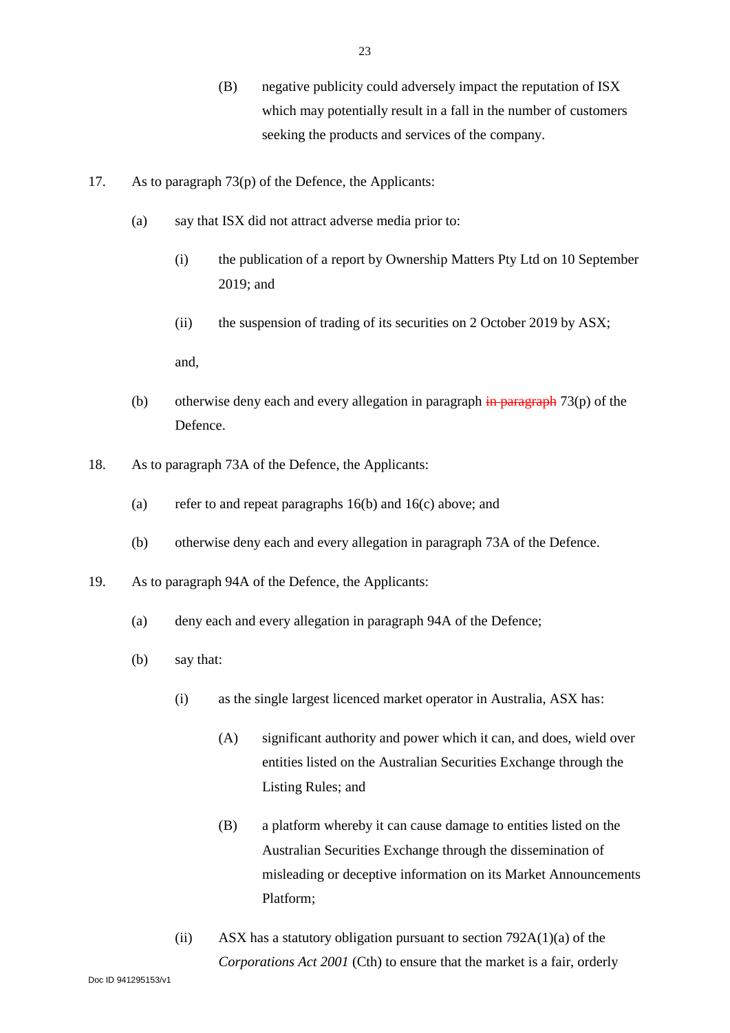- (B) negative publicity could adversely impact the reputation of ISX which may potentially result in a fall in the number of customers seeking the products and services of the company.
- 17. As to paragraph 73(p) of the Defence, the Applicants:
	- (a) say that ISX did not attract adverse media prior to:
		- (i) the publication of a report by Ownership Matters Pty Ltd on 10 September 2019; and
		- (ii) the suspension of trading of its securities on 2 October 2019 by ASX;

- (b) otherwise deny each and every allegation in paragraph  $\frac{1}{2}$  are  $\frac{1}{2}$  (p) of the Defence.
- 18. As to paragraph 73A of the Defence, the Applicants:
	- (a) refer to and repeat paragraphs [16\(](#page-22-0)b) and [16\(](#page-22-0)c) above; and
	- (b) otherwise deny each and every allegation in paragraph 73A of the Defence.
- 19. As to paragraph 94A of the Defence, the Applicants:
	- (a) deny each and every allegation in paragraph 94A of the Defence;
	- (b) say that:
		- (i) as the single largest licenced market operator in Australia, ASX has:
			- (A) significant authority and power which it can, and does, wield over entities listed on the Australian Securities Exchange through the Listing Rules; and
			- (B) a platform whereby it can cause damage to entities listed on the Australian Securities Exchange through the dissemination of misleading or deceptive information on its Market Announcements Platform;
		- (ii) ASX has a statutory obligation pursuant to section  $792A(1)(a)$  of the *Corporations Act 2001* (Cth) to ensure that the market is a fair, orderly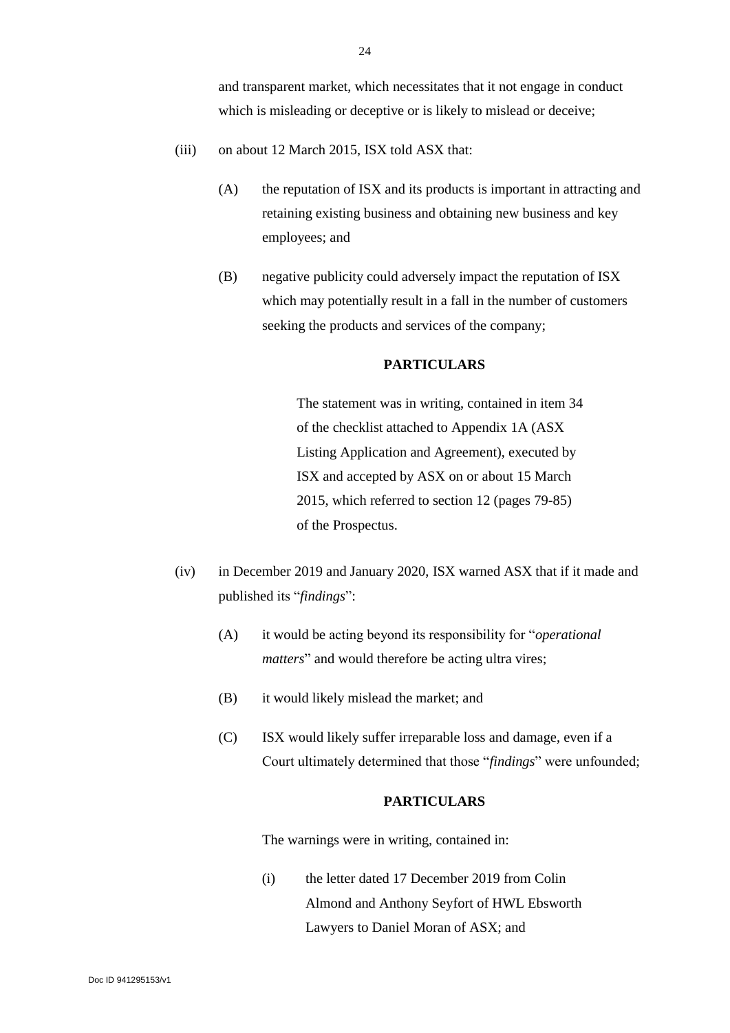and transparent market, which necessitates that it not engage in conduct which is misleading or deceptive or is likely to mislead or deceive;

- (iii) on about 12 March 2015, ISX told ASX that:
	- (A) the reputation of ISX and its products is important in attracting and retaining existing business and obtaining new business and key employees; and
	- (B) negative publicity could adversely impact the reputation of ISX which may potentially result in a fall in the number of customers seeking the products and services of the company;

## **PARTICULARS**

The statement was in writing, contained in item 34 of the checklist attached to Appendix 1A (ASX Listing Application and Agreement), executed by ISX and accepted by ASX on or about 15 March 2015, which referred to section 12 (pages 79-85) of the Prospectus.

- (iv) in December 2019 and January 2020, ISX warned ASX that if it made and published its "*findings*":
	- (A) it would be acting beyond its responsibility for "*operational matters*" and would therefore be acting ultra vires;
	- (B) it would likely mislead the market; and
	- (C) ISX would likely suffer irreparable loss and damage, even if a Court ultimately determined that those "*findings*" were unfounded;

#### **PARTICULARS**

The warnings were in writing, contained in:

(i) the letter dated 17 December 2019 from Colin Almond and Anthony Seyfort of HWL Ebsworth Lawyers to Daniel Moran of ASX; and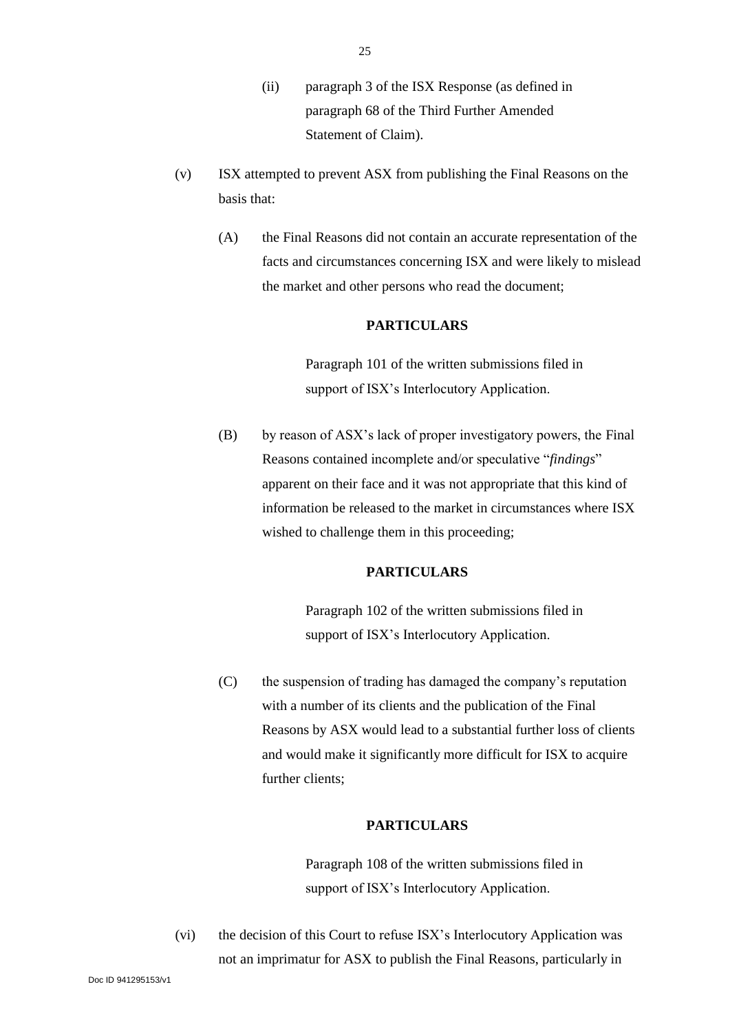- (ii) paragraph 3 of the ISX Response (as defined in paragraph 68 of the Third Further Amended Statement of Claim).
- (v) ISX attempted to prevent ASX from publishing the Final Reasons on the basis that:
	- (A) the Final Reasons did not contain an accurate representation of the facts and circumstances concerning ISX and were likely to mislead the market and other persons who read the document;

#### **PARTICULARS**

Paragraph 101 of the written submissions filed in support of ISX's Interlocutory Application.

(B) by reason of ASX's lack of proper investigatory powers, the Final Reasons contained incomplete and/or speculative "*findings*" apparent on their face and it was not appropriate that this kind of information be released to the market in circumstances where ISX wished to challenge them in this proceeding;

## **PARTICULARS**

Paragraph 102 of the written submissions filed in support of ISX's Interlocutory Application.

(C) the suspension of trading has damaged the company's reputation with a number of its clients and the publication of the Final Reasons by ASX would lead to a substantial further loss of clients and would make it significantly more difficult for ISX to acquire further clients;

## **PARTICULARS**

Paragraph 108 of the written submissions filed in support of ISX's Interlocutory Application.

(vi) the decision of this Court to refuse ISX's Interlocutory Application was not an imprimatur for ASX to publish the Final Reasons, particularly in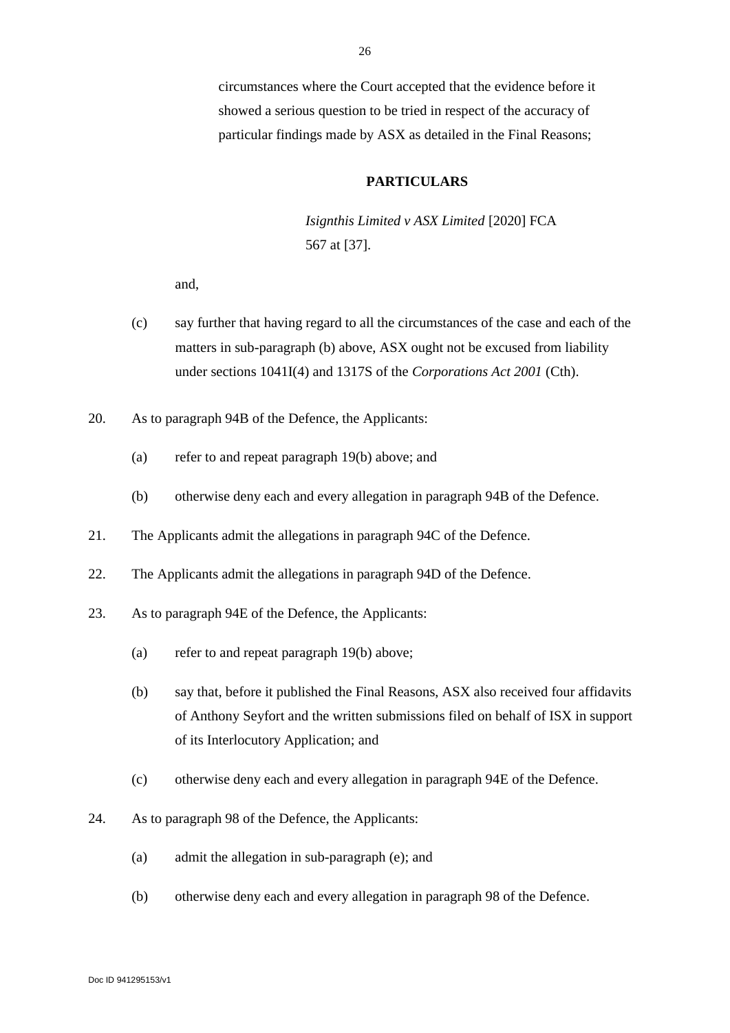circumstances where the Court accepted that the evidence before it showed a serious question to be tried in respect of the accuracy of particular findings made by ASX as detailed in the Final Reasons;

#### **PARTICULARS**

*Isignthis Limited v ASX Limited* [2020] FCA 567 at [37].

- (c) say further that having regard to all the circumstances of the case and each of the matters in sub-paragraph (b) above, ASX ought not be excused from liability under sections 1041I(4) and 1317S of the *Corporations Act 2001* (Cth).
- 20. As to paragraph 94B of the Defence, the Applicants:
	- (a) refer to and repeat paragraph 19(b) above; and
	- (b) otherwise deny each and every allegation in paragraph 94B of the Defence.
- 21. The Applicants admit the allegations in paragraph 94C of the Defence.
- 22. The Applicants admit the allegations in paragraph 94D of the Defence.
- 23. As to paragraph 94E of the Defence, the Applicants:
	- (a) refer to and repeat paragraph 19(b) above;
	- (b) say that, before it published the Final Reasons, ASX also received four affidavits of Anthony Seyfort and the written submissions filed on behalf of ISX in support of its Interlocutory Application; and
	- (c) otherwise deny each and every allegation in paragraph 94E of the Defence.
- 24. As to paragraph 98 of the Defence, the Applicants:
	- (a) admit the allegation in sub-paragraph (e); and
	- (b) otherwise deny each and every allegation in paragraph 98 of the Defence.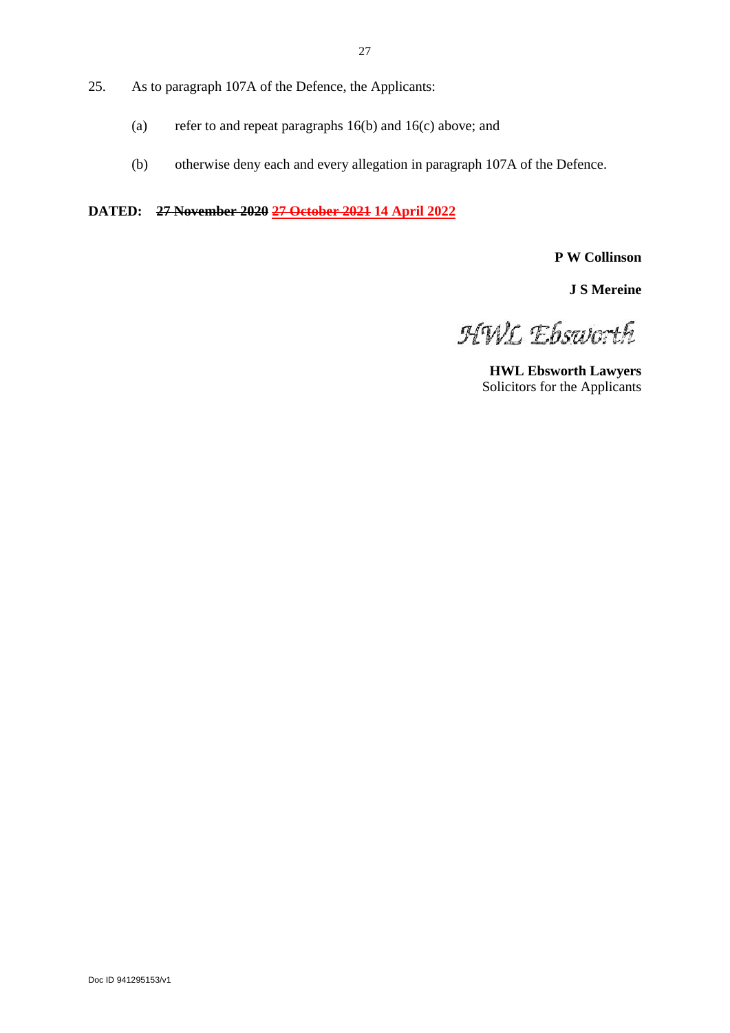- 25. As to paragraph 107A of the Defence, the Applicants:
	- (a) refer to and repeat paragraphs 16(b) and 16(c) above; and
	- (b) otherwise deny each and every allegation in paragraph 107A of the Defence.

**DATED: 27 November 2020 27 October 2021 14 April 2022**

**P W Collinson**

**J S Mereine**

HWL Ebsworth

**HWL Ebsworth Lawyers** Solicitors for the Applicants